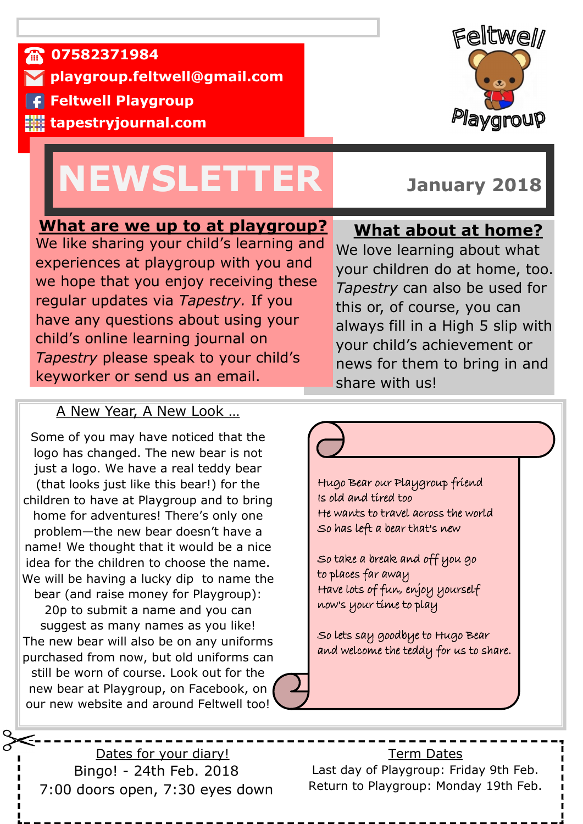**07582371984** 

**playgroup.feltwell@gmail.com**

**F** Feltwell Playgroup

**tapestryjournal.com**

# **NEWSLETTER January 2018**



### **What are we up to at playgroup?**

We like sharing your child's learning and experiences at playgroup with you and we hope that you enjoy receiving these regular updates via *Tapestry.* If you have any questions about using your child's online learning journal on *Tapestry* please speak to your child's keyworker or send us an email.

## **What about at home?**

We love learning about what your children do at home, too. *Tapestry* can also be used for this or, of course, you can always fill in a High 5 slip with your child's achievement or news for them to bring in and share with us!

#### A New Year, A New Look …

Some of you may have noticed that the logo has changed. The new bear is not just a logo. We have a real teddy bear (that looks just like this bear!) for the children to have at Playgroup and to bring home for adventures! There's only one problem—the new bear doesn't have a name! We thought that it would be a nice idea for the children to choose the name. We will be having a lucky dip to name the bear (and raise money for Playgroup): 20p to submit a name and you can suggest as many names as you like! The new bear will also be on any uniforms purchased from now, but old uniforms can still be worn of course. Look out for the new bear at Playgroup, on Facebook, on our new website and around Feltwell too!

Hugo Bear our Playgroup friend Is old and tired too He wants to travel across the world So has left a bear that's new

So take a break and off you go to places far away Have lots of fun, enjoy yourself now's your time to play

So lets say goodbye to Hugo Bear and welcome the teddy for us to share.

Dates for your diary! Bingo! - 24th Feb. 2018 7:00 doors open, 7:30 eyes down

Term Dates Last day of Playgroup: Friday 9th Feb. Return to Playgroup: Monday 19th Feb.